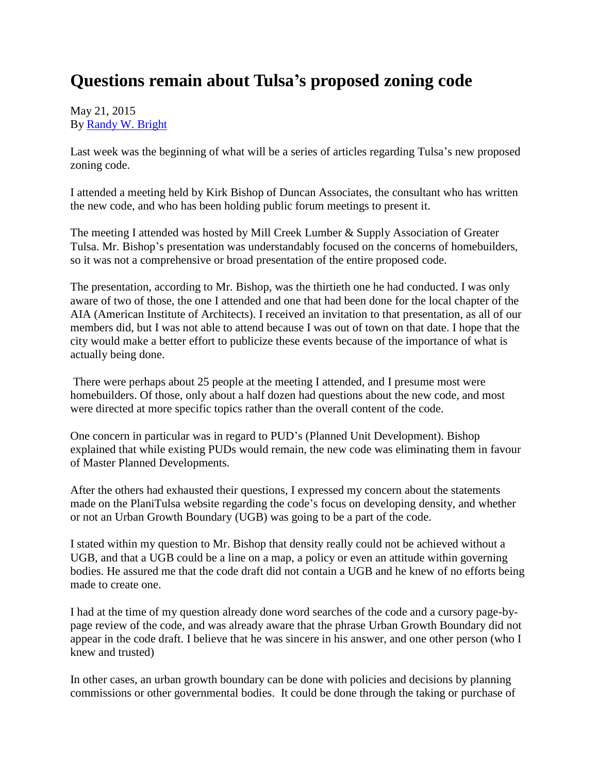## **Questions remain about Tulsa's proposed zoning code**

## May 21, 2015 By [Randy W. Bright](http://www.tulsabeacon.com/author/slug-o6yd1v)

Last week was the beginning of what will be a series of articles regarding Tulsa's new proposed zoning code.

I attended a meeting held by Kirk Bishop of Duncan Associates, the consultant who has written the new code, and who has been holding public forum meetings to present it.

The meeting I attended was hosted by Mill Creek Lumber & Supply Association of Greater Tulsa. Mr. Bishop's presentation was understandably focused on the concerns of homebuilders, so it was not a comprehensive or broad presentation of the entire proposed code.

The presentation, according to Mr. Bishop, was the thirtieth one he had conducted. I was only aware of two of those, the one I attended and one that had been done for the local chapter of the AIA (American Institute of Architects). I received an invitation to that presentation, as all of our members did, but I was not able to attend because I was out of town on that date. I hope that the city would make a better effort to publicize these events because of the importance of what is actually being done.

There were perhaps about 25 people at the meeting I attended, and I presume most were homebuilders. Of those, only about a half dozen had questions about the new code, and most were directed at more specific topics rather than the overall content of the code.

One concern in particular was in regard to PUD's (Planned Unit Development). Bishop explained that while existing PUDs would remain, the new code was eliminating them in favour of Master Planned Developments.

After the others had exhausted their questions, I expressed my concern about the statements made on the PlaniTulsa website regarding the code's focus on developing density, and whether or not an Urban Growth Boundary (UGB) was going to be a part of the code.

I stated within my question to Mr. Bishop that density really could not be achieved without a UGB, and that a UGB could be a line on a map, a policy or even an attitude within governing bodies. He assured me that the code draft did not contain a UGB and he knew of no efforts being made to create one.

I had at the time of my question already done word searches of the code and a cursory page-bypage review of the code, and was already aware that the phrase Urban Growth Boundary did not appear in the code draft. I believe that he was sincere in his answer, and one other person (who I knew and trusted)

In other cases, an urban growth boundary can be done with policies and decisions by planning commissions or other governmental bodies. It could be done through the taking or purchase of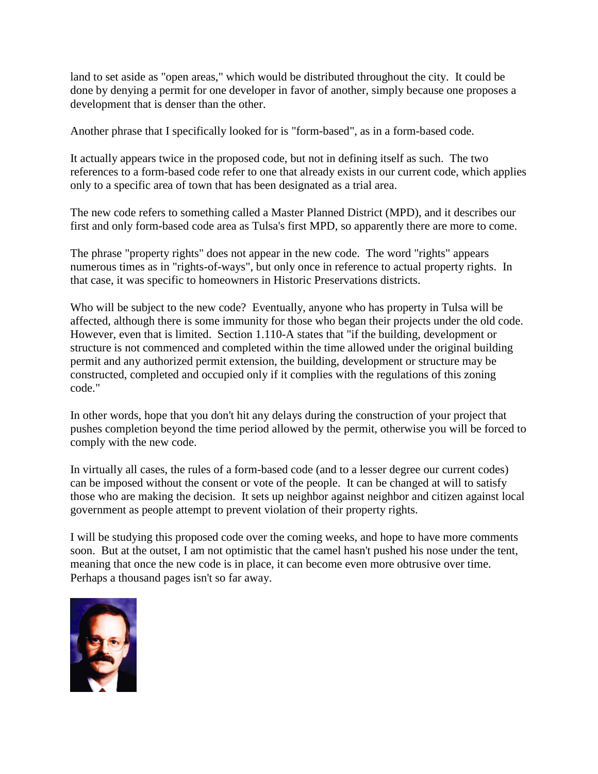land to set aside as "open areas," which would be distributed throughout the city. It could be done by denying a permit for one developer in favor of another, simply because one proposes a development that is denser than the other.

Another phrase that I specifically looked for is "form-based", as in a form-based code.

It actually appears twice in the proposed code, but not in defining itself as such. The two references to a form-based code refer to one that already exists in our current code, which applies only to a specific area of town that has been designated as a trial area.

The new code refers to something called a Master Planned District (MPD), and it describes our first and only form-based code area as Tulsa's first MPD, so apparently there are more to come.

The phrase "property rights" does not appear in the new code. The word "rights" appears numerous times as in "rights-of-ways", but only once in reference to actual property rights. In that case, it was specific to homeowners in Historic Preservations districts.

Who will be subject to the new code? Eventually, anyone who has property in Tulsa will be affected, although there is some immunity for those who began their projects under the old code. However, even that is limited. Section 1.110-A states that "if the building, development or structure is not commenced and completed within the time allowed under the original building permit and any authorized permit extension, the building, development or structure may be constructed, completed and occupied only if it complies with the regulations of this zoning code."

In other words, hope that you don't hit any delays during the construction of your project that pushes completion beyond the time period allowed by the permit, otherwise you will be forced to comply with the new code.

In virtually all cases, the rules of a form-based code (and to a lesser degree our current codes) can be imposed without the consent or vote of the people. It can be changed at will to satisfy those who are making the decision. It sets up neighbor against neighbor and citizen against local government as people attempt to prevent violation of their property rights.

I will be studying this proposed code over the coming weeks, and hope to have more comments soon. But at the outset, I am not optimistic that the camel hasn't pushed his nose under the tent, meaning that once the new code is in place, it can become even more obtrusive over time. Perhaps a thousand pages isn't so far away.